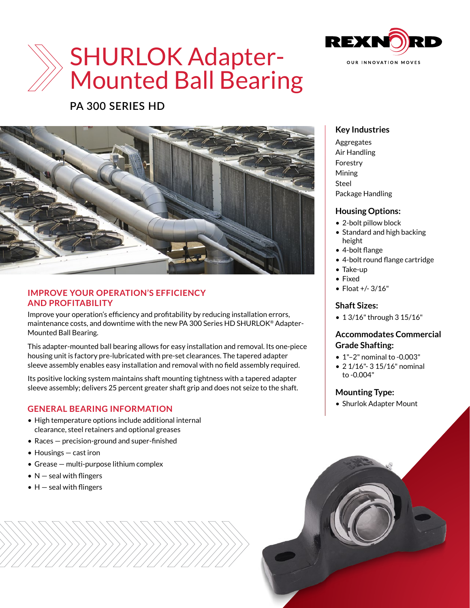

# SHURLOK Adapter-Mounted Ball Bearing

# **PA 300 SERIES HD**



#### **IMPROVE YOUR OPERATION'S EFFICIENCY AND PROFITABILITY**

Improve your operation's efficiency and profitability by reducing installation errors, maintenance costs, and downtime with the new PA 300 Series HD SHURLOK® Adapter-Mounted Ball Bearing.

This adapter-mounted ball bearing allows for easy installation and removal. Its one-piece housing unit is factory pre-lubricated with pre-set clearances. The tapered adapter sleeve assembly enables easy installation and removal with no field assembly required.

Its positive locking system maintains shaft mounting tightness with a tapered adapter sleeve assembly; delivers 25 percent greater shaft grip and does not seize to the shaft.

# **GENERAL BEARING INFORMATION**

- High temperature options include additional internal clearance, steel retainers and optional greases
- Races precision-ground and super-finished
- Housings cast iron
- Grease multi-purpose lithium complex
- $N$  seal with flingers
- $\bullet$  H  $-$  seal with flingers

### **Key Industries**

Aggregates Air Handling Forestry Mining Steel Package Handling

#### **Housing Options:**

- 2-bolt pillow block
- Standard and high backing height
- 4-bolt flange
- 4-bolt round flange cartridge
- Take-up
- Fixed
- Float +/- 3/16"

#### **Shaft Sizes:**

• 1 3/16" through 3 15/16"

#### **Accommodates Commercial Grade Shafting:**

- 1"–2" nominal to -0.003"
- 2 1/16"- 3 15/16" nominal to -0.004"

# **Mounting Type:**

• Shurlok Adapter Mount